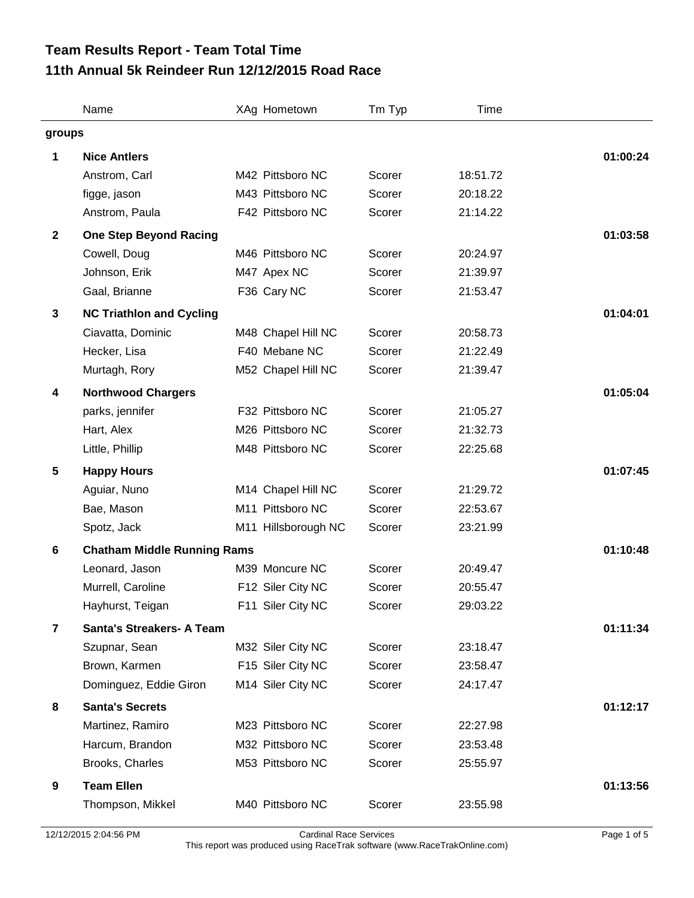## **11th Annual 5k Reindeer Run 12/12/2015 Road Race Team Results Report - Team Total Time**

|                | Name                               |  | XAg Hometown        | Tm Typ | Time     |          |
|----------------|------------------------------------|--|---------------------|--------|----------|----------|
| groups         |                                    |  |                     |        |          |          |
| 1              | <b>Nice Antlers</b>                |  |                     |        |          | 01:00:24 |
|                | Anstrom, Carl                      |  | M42 Pittsboro NC    | Scorer | 18:51.72 |          |
|                | figge, jason                       |  | M43 Pittsboro NC    | Scorer | 20:18.22 |          |
|                | Anstrom, Paula                     |  | F42 Pittsboro NC    | Scorer | 21:14.22 |          |
| $\mathbf{2}$   | <b>One Step Beyond Racing</b>      |  |                     |        |          | 01:03:58 |
|                | Cowell, Doug                       |  | M46 Pittsboro NC    | Scorer | 20:24.97 |          |
|                | Johnson, Erik                      |  | M47 Apex NC         | Scorer | 21:39.97 |          |
|                | Gaal, Brianne                      |  | F36 Cary NC         | Scorer | 21:53.47 |          |
| $\mathbf 3$    | <b>NC Triathlon and Cycling</b>    |  |                     |        |          | 01:04:01 |
|                | Ciavatta, Dominic                  |  | M48 Chapel Hill NC  | Scorer | 20:58.73 |          |
|                | Hecker, Lisa                       |  | F40 Mebane NC       | Scorer | 21:22.49 |          |
|                | Murtagh, Rory                      |  | M52 Chapel Hill NC  | Scorer | 21:39.47 |          |
| 4              | <b>Northwood Chargers</b>          |  |                     |        |          | 01:05:04 |
|                | parks, jennifer                    |  | F32 Pittsboro NC    | Scorer | 21:05.27 |          |
|                | Hart, Alex                         |  | M26 Pittsboro NC    | Scorer | 21:32.73 |          |
|                | Little, Phillip                    |  | M48 Pittsboro NC    | Scorer | 22:25.68 |          |
| 5              | <b>Happy Hours</b>                 |  |                     |        |          | 01:07:45 |
|                | Aguiar, Nuno                       |  | M14 Chapel Hill NC  | Scorer | 21:29.72 |          |
|                | Bae, Mason                         |  | M11 Pittsboro NC    | Scorer | 22:53.67 |          |
|                | Spotz, Jack                        |  | M11 Hillsborough NC | Scorer | 23:21.99 |          |
| 6              | <b>Chatham Middle Running Rams</b> |  |                     |        |          |          |
|                | Leonard, Jason                     |  | M39 Moncure NC      | Scorer | 20:49.47 |          |
|                | Murrell, Caroline                  |  | F12 Siler City NC   | Scorer | 20:55.47 |          |
|                | Hayhurst, Teigan                   |  | F11 Siler City NC   | Scorer | 29:03.22 |          |
| $\overline{7}$ | <b>Santa's Streakers- A Team</b>   |  |                     |        |          | 01:11:34 |
|                | Szupnar, Sean                      |  | M32 Siler City NC   | Scorer | 23:18.47 |          |
|                | Brown, Karmen                      |  | F15 Siler City NC   | Scorer | 23:58.47 |          |
|                | Dominguez, Eddie Giron             |  | M14 Siler City NC   | Scorer | 24:17.47 |          |
| 8              | <b>Santa's Secrets</b>             |  |                     |        |          | 01:12:17 |
|                | Martinez, Ramiro                   |  | M23 Pittsboro NC    | Scorer | 22:27.98 |          |
|                | Harcum, Brandon                    |  | M32 Pittsboro NC    | Scorer | 23:53.48 |          |
|                | Brooks, Charles                    |  | M53 Pittsboro NC    | Scorer | 25:55.97 |          |
| 9              | <b>Team Ellen</b>                  |  |                     |        |          | 01:13:56 |
|                | Thompson, Mikkel                   |  | M40 Pittsboro NC    | Scorer | 23:55.98 |          |
|                |                                    |  |                     |        |          |          |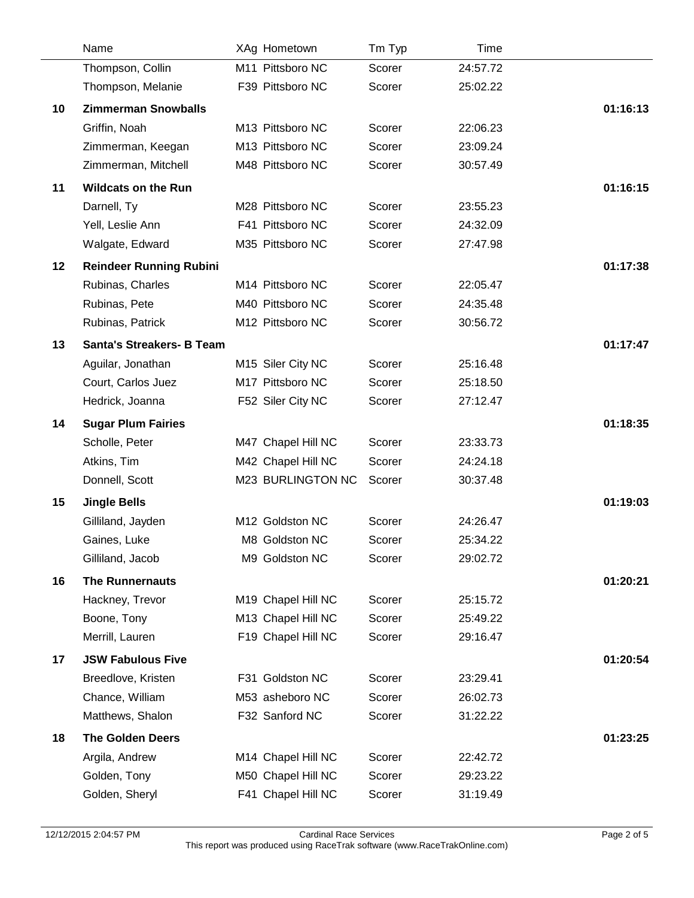|    | Name                             | XAg Hometown                      | Tm Typ | Time     |          |
|----|----------------------------------|-----------------------------------|--------|----------|----------|
|    | Thompson, Collin                 | M11 Pittsboro NC                  | Scorer | 24:57.72 |          |
|    | Thompson, Melanie                | F39 Pittsboro NC                  | Scorer | 25:02.22 |          |
| 10 | <b>Zimmerman Snowballs</b>       |                                   |        |          | 01:16:13 |
|    | Griffin, Noah                    | M13 Pittsboro NC                  | Scorer | 22:06.23 |          |
|    | Zimmerman, Keegan                | M13 Pittsboro NC                  | Scorer | 23:09.24 |          |
|    | Zimmerman, Mitchell              | M48 Pittsboro NC                  | Scorer | 30:57.49 |          |
| 11 | <b>Wildcats on the Run</b>       |                                   |        |          | 01:16:15 |
|    | Darnell, Ty                      | M28 Pittsboro NC                  | Scorer | 23:55.23 |          |
|    | Yell, Leslie Ann                 | F41 Pittsboro NC                  | Scorer | 24:32.09 |          |
|    | Walgate, Edward                  | M35 Pittsboro NC                  | Scorer | 27:47.98 |          |
| 12 | <b>Reindeer Running Rubini</b>   |                                   |        |          | 01:17:38 |
|    | Rubinas, Charles                 | M14 Pittsboro NC                  | Scorer | 22:05.47 |          |
|    | Rubinas, Pete                    | M40 Pittsboro NC                  | Scorer | 24:35.48 |          |
|    | Rubinas, Patrick                 | M12 Pittsboro NC                  | Scorer | 30:56.72 |          |
| 13 | <b>Santa's Streakers- B Team</b> |                                   |        |          | 01:17:47 |
|    | Aguilar, Jonathan                | M15 Siler City NC                 | Scorer | 25:16.48 |          |
|    | Court, Carlos Juez               | M17 Pittsboro NC                  | Scorer | 25:18.50 |          |
|    | Hedrick, Joanna                  | F52 Siler City NC                 | Scorer | 27:12.47 |          |
| 14 | <b>Sugar Plum Fairies</b>        |                                   |        |          | 01:18:35 |
|    | Scholle, Peter                   | M47 Chapel Hill NC                | Scorer | 23:33.73 |          |
|    | Atkins, Tim                      | M42 Chapel Hill NC                | Scorer | 24:24.18 |          |
|    | Donnell, Scott                   | M23 BURLINGTON NC                 | Scorer | 30:37.48 |          |
| 15 | <b>Jingle Bells</b>              |                                   |        |          | 01:19:03 |
|    | Gilliland, Jayden                | M12 Goldston NC                   | Scorer | 24:26.47 |          |
|    | Gaines, Luke                     | M8 Goldston NC                    | Scorer | 25:34.22 |          |
|    | Gilliland, Jacob                 | M9 Goldston NC                    | Scorer | 29:02.72 |          |
| 16 | <b>The Runnernauts</b>           |                                   |        |          | 01:20:21 |
|    | Hackney, Trevor                  | M19 Chapel Hill NC                | Scorer | 25:15.72 |          |
|    | Boone, Tony                      | M13 Chapel Hill NC                | Scorer | 25:49.22 |          |
|    | Merrill, Lauren                  | F19 Chapel Hill NC                | Scorer | 29:16.47 |          |
|    |                                  |                                   |        |          |          |
| 17 | <b>JSW Fabulous Five</b>         |                                   |        |          | 01:20:54 |
|    | Breedlove, Kristen               | F31 Goldston NC                   | Scorer | 23:29.41 |          |
|    | Chance, William                  | M53 asheboro NC<br>F32 Sanford NC | Scorer | 26:02.73 |          |
|    | Matthews, Shalon                 |                                   | Scorer | 31:22.22 |          |
| 18 | <b>The Golden Deers</b>          |                                   |        |          | 01:23:25 |
|    | Argila, Andrew                   | M14 Chapel Hill NC                | Scorer | 22:42.72 |          |
|    | Golden, Tony                     | M50 Chapel Hill NC                | Scorer | 29:23.22 |          |
|    | Golden, Sheryl                   | F41 Chapel Hill NC                | Scorer | 31:19.49 |          |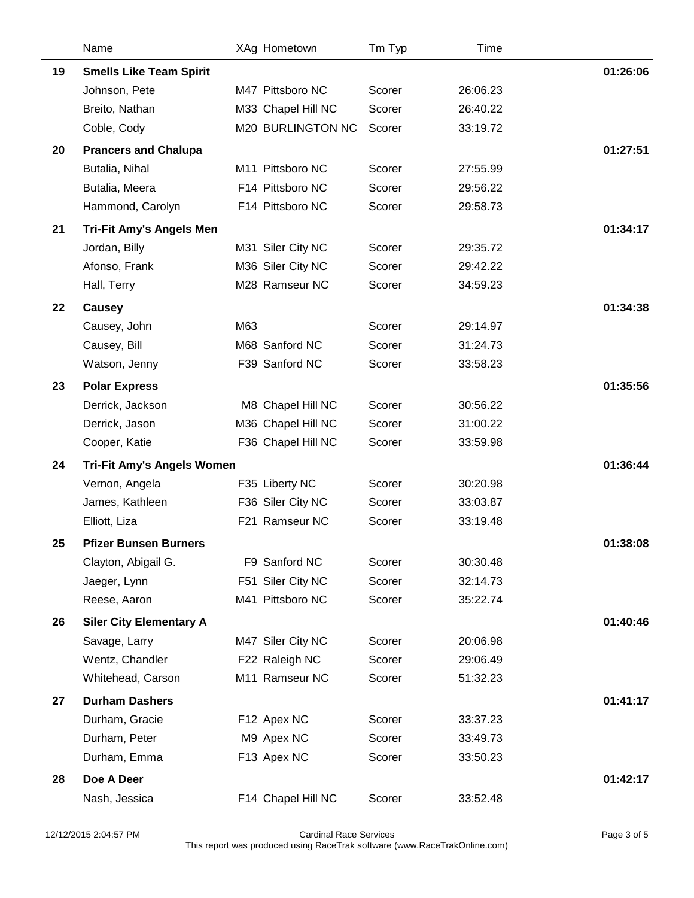| <b>Smells Like Team Spirit</b><br>19<br>M47 Pittsboro NC<br>Scorer<br>26:06.23<br>Johnson, Pete<br>Breito, Nathan<br>M33 Chapel Hill NC<br>Scorer<br>26:40.22<br>M20 BURLINGTON NC<br>33:19.72<br>Coble, Cody<br>Scorer<br>01:27:51<br>20<br><b>Prancers and Chalupa</b><br>Butalia, Nihal<br>M11 Pittsboro NC<br>Scorer<br>27:55.99<br>F14 Pittsboro NC<br>Butalia, Meera<br>Scorer<br>29:56.22<br>Hammond, Carolyn<br>F14 Pittsboro NC<br>Scorer<br>29:58.73<br><b>Tri-Fit Amy's Angels Men</b><br>21<br>Jordan, Billy<br>M31 Siler City NC<br>Scorer<br>29:35.72<br>M36 Siler City NC<br>29:42.22<br>Afonso, Frank<br>Scorer<br>M28 Ramseur NC<br>34:59.23<br>Scorer<br>Hall, Terry<br>22<br>Causey<br>M63<br>Scorer<br>Causey, John<br>29:14.97<br>M68 Sanford NC<br>Scorer<br>31:24.73<br>Causey, Bill<br>F39 Sanford NC<br>Watson, Jenny<br>Scorer<br>33:58.23<br>23<br><b>Polar Express</b><br>Derrick, Jackson<br>M8 Chapel Hill NC<br>Scorer<br>30:56.22<br>M36 Chapel Hill NC<br>31:00.22<br>Derrick, Jason<br>Scorer<br>Cooper, Katie<br>F36 Chapel Hill NC<br>Scorer<br>33:59.98<br>01:36:44<br>24<br><b>Tri-Fit Amy's Angels Women</b><br>Vernon, Angela<br>F35 Liberty NC<br>Scorer<br>30:20.98<br>James, Kathleen<br>F36 Siler City NC<br>Scorer<br>33:03.87<br>F21 Ramseur NC<br>Scorer<br>33:19.48<br>Elliott, Liza<br><b>Pfizer Bunsen Burners</b><br>01:38:08<br>25<br>Clayton, Abigail G.<br>F9 Sanford NC<br>Scorer<br>30:30.48<br>F51 Siler City NC<br>Scorer<br>32:14.73<br>Jaeger, Lynn<br>M41 Pittsboro NC<br>Scorer<br>Reese, Aaron<br>35:22.74<br>26<br><b>Siler City Elementary A</b><br>M47 Siler City NC<br>Scorer<br>Savage, Larry<br>20:06.98<br>Wentz, Chandler<br>F22 Raleigh NC<br>Scorer<br>29:06.49<br>Whitehead, Carson<br>M11 Ramseur NC<br>Scorer<br>51:32.23<br><b>Durham Dashers</b><br>27<br>Durham, Gracie<br>Scorer<br>F12 Apex NC<br>33:37.23<br>Durham, Peter<br>Scorer<br>M9 Apex NC<br>33:49.73<br>Durham, Emma<br>F13 Apex NC<br>Scorer<br>33:50.23<br>Doe A Deer<br>28 | Name | XAg Hometown | Tm Typ | Time |          |
|---------------------------------------------------------------------------------------------------------------------------------------------------------------------------------------------------------------------------------------------------------------------------------------------------------------------------------------------------------------------------------------------------------------------------------------------------------------------------------------------------------------------------------------------------------------------------------------------------------------------------------------------------------------------------------------------------------------------------------------------------------------------------------------------------------------------------------------------------------------------------------------------------------------------------------------------------------------------------------------------------------------------------------------------------------------------------------------------------------------------------------------------------------------------------------------------------------------------------------------------------------------------------------------------------------------------------------------------------------------------------------------------------------------------------------------------------------------------------------------------------------------------------------------------------------------------------------------------------------------------------------------------------------------------------------------------------------------------------------------------------------------------------------------------------------------------------------------------------------------------------------------------------------------------------------------------------------------------------------------------------------------------------|------|--------------|--------|------|----------|
|                                                                                                                                                                                                                                                                                                                                                                                                                                                                                                                                                                                                                                                                                                                                                                                                                                                                                                                                                                                                                                                                                                                                                                                                                                                                                                                                                                                                                                                                                                                                                                                                                                                                                                                                                                                                                                                                                                                                                                                                                           |      |              |        |      | 01:26:06 |
|                                                                                                                                                                                                                                                                                                                                                                                                                                                                                                                                                                                                                                                                                                                                                                                                                                                                                                                                                                                                                                                                                                                                                                                                                                                                                                                                                                                                                                                                                                                                                                                                                                                                                                                                                                                                                                                                                                                                                                                                                           |      |              |        |      |          |
|                                                                                                                                                                                                                                                                                                                                                                                                                                                                                                                                                                                                                                                                                                                                                                                                                                                                                                                                                                                                                                                                                                                                                                                                                                                                                                                                                                                                                                                                                                                                                                                                                                                                                                                                                                                                                                                                                                                                                                                                                           |      |              |        |      |          |
|                                                                                                                                                                                                                                                                                                                                                                                                                                                                                                                                                                                                                                                                                                                                                                                                                                                                                                                                                                                                                                                                                                                                                                                                                                                                                                                                                                                                                                                                                                                                                                                                                                                                                                                                                                                                                                                                                                                                                                                                                           |      |              |        |      |          |
|                                                                                                                                                                                                                                                                                                                                                                                                                                                                                                                                                                                                                                                                                                                                                                                                                                                                                                                                                                                                                                                                                                                                                                                                                                                                                                                                                                                                                                                                                                                                                                                                                                                                                                                                                                                                                                                                                                                                                                                                                           |      |              |        |      |          |
|                                                                                                                                                                                                                                                                                                                                                                                                                                                                                                                                                                                                                                                                                                                                                                                                                                                                                                                                                                                                                                                                                                                                                                                                                                                                                                                                                                                                                                                                                                                                                                                                                                                                                                                                                                                                                                                                                                                                                                                                                           |      |              |        |      |          |
|                                                                                                                                                                                                                                                                                                                                                                                                                                                                                                                                                                                                                                                                                                                                                                                                                                                                                                                                                                                                                                                                                                                                                                                                                                                                                                                                                                                                                                                                                                                                                                                                                                                                                                                                                                                                                                                                                                                                                                                                                           |      |              |        |      |          |
|                                                                                                                                                                                                                                                                                                                                                                                                                                                                                                                                                                                                                                                                                                                                                                                                                                                                                                                                                                                                                                                                                                                                                                                                                                                                                                                                                                                                                                                                                                                                                                                                                                                                                                                                                                                                                                                                                                                                                                                                                           |      |              |        |      |          |
|                                                                                                                                                                                                                                                                                                                                                                                                                                                                                                                                                                                                                                                                                                                                                                                                                                                                                                                                                                                                                                                                                                                                                                                                                                                                                                                                                                                                                                                                                                                                                                                                                                                                                                                                                                                                                                                                                                                                                                                                                           |      |              |        |      | 01:34:17 |
|                                                                                                                                                                                                                                                                                                                                                                                                                                                                                                                                                                                                                                                                                                                                                                                                                                                                                                                                                                                                                                                                                                                                                                                                                                                                                                                                                                                                                                                                                                                                                                                                                                                                                                                                                                                                                                                                                                                                                                                                                           |      |              |        |      |          |
|                                                                                                                                                                                                                                                                                                                                                                                                                                                                                                                                                                                                                                                                                                                                                                                                                                                                                                                                                                                                                                                                                                                                                                                                                                                                                                                                                                                                                                                                                                                                                                                                                                                                                                                                                                                                                                                                                                                                                                                                                           |      |              |        |      |          |
|                                                                                                                                                                                                                                                                                                                                                                                                                                                                                                                                                                                                                                                                                                                                                                                                                                                                                                                                                                                                                                                                                                                                                                                                                                                                                                                                                                                                                                                                                                                                                                                                                                                                                                                                                                                                                                                                                                                                                                                                                           |      |              |        |      |          |
|                                                                                                                                                                                                                                                                                                                                                                                                                                                                                                                                                                                                                                                                                                                                                                                                                                                                                                                                                                                                                                                                                                                                                                                                                                                                                                                                                                                                                                                                                                                                                                                                                                                                                                                                                                                                                                                                                                                                                                                                                           |      |              |        |      | 01:34:38 |
|                                                                                                                                                                                                                                                                                                                                                                                                                                                                                                                                                                                                                                                                                                                                                                                                                                                                                                                                                                                                                                                                                                                                                                                                                                                                                                                                                                                                                                                                                                                                                                                                                                                                                                                                                                                                                                                                                                                                                                                                                           |      |              |        |      |          |
|                                                                                                                                                                                                                                                                                                                                                                                                                                                                                                                                                                                                                                                                                                                                                                                                                                                                                                                                                                                                                                                                                                                                                                                                                                                                                                                                                                                                                                                                                                                                                                                                                                                                                                                                                                                                                                                                                                                                                                                                                           |      |              |        |      |          |
|                                                                                                                                                                                                                                                                                                                                                                                                                                                                                                                                                                                                                                                                                                                                                                                                                                                                                                                                                                                                                                                                                                                                                                                                                                                                                                                                                                                                                                                                                                                                                                                                                                                                                                                                                                                                                                                                                                                                                                                                                           |      |              |        |      |          |
|                                                                                                                                                                                                                                                                                                                                                                                                                                                                                                                                                                                                                                                                                                                                                                                                                                                                                                                                                                                                                                                                                                                                                                                                                                                                                                                                                                                                                                                                                                                                                                                                                                                                                                                                                                                                                                                                                                                                                                                                                           |      |              |        |      | 01:35:56 |
|                                                                                                                                                                                                                                                                                                                                                                                                                                                                                                                                                                                                                                                                                                                                                                                                                                                                                                                                                                                                                                                                                                                                                                                                                                                                                                                                                                                                                                                                                                                                                                                                                                                                                                                                                                                                                                                                                                                                                                                                                           |      |              |        |      |          |
|                                                                                                                                                                                                                                                                                                                                                                                                                                                                                                                                                                                                                                                                                                                                                                                                                                                                                                                                                                                                                                                                                                                                                                                                                                                                                                                                                                                                                                                                                                                                                                                                                                                                                                                                                                                                                                                                                                                                                                                                                           |      |              |        |      |          |
|                                                                                                                                                                                                                                                                                                                                                                                                                                                                                                                                                                                                                                                                                                                                                                                                                                                                                                                                                                                                                                                                                                                                                                                                                                                                                                                                                                                                                                                                                                                                                                                                                                                                                                                                                                                                                                                                                                                                                                                                                           |      |              |        |      |          |
|                                                                                                                                                                                                                                                                                                                                                                                                                                                                                                                                                                                                                                                                                                                                                                                                                                                                                                                                                                                                                                                                                                                                                                                                                                                                                                                                                                                                                                                                                                                                                                                                                                                                                                                                                                                                                                                                                                                                                                                                                           |      |              |        |      |          |
|                                                                                                                                                                                                                                                                                                                                                                                                                                                                                                                                                                                                                                                                                                                                                                                                                                                                                                                                                                                                                                                                                                                                                                                                                                                                                                                                                                                                                                                                                                                                                                                                                                                                                                                                                                                                                                                                                                                                                                                                                           |      |              |        |      |          |
|                                                                                                                                                                                                                                                                                                                                                                                                                                                                                                                                                                                                                                                                                                                                                                                                                                                                                                                                                                                                                                                                                                                                                                                                                                                                                                                                                                                                                                                                                                                                                                                                                                                                                                                                                                                                                                                                                                                                                                                                                           |      |              |        |      |          |
|                                                                                                                                                                                                                                                                                                                                                                                                                                                                                                                                                                                                                                                                                                                                                                                                                                                                                                                                                                                                                                                                                                                                                                                                                                                                                                                                                                                                                                                                                                                                                                                                                                                                                                                                                                                                                                                                                                                                                                                                                           |      |              |        |      |          |
|                                                                                                                                                                                                                                                                                                                                                                                                                                                                                                                                                                                                                                                                                                                                                                                                                                                                                                                                                                                                                                                                                                                                                                                                                                                                                                                                                                                                                                                                                                                                                                                                                                                                                                                                                                                                                                                                                                                                                                                                                           |      |              |        |      |          |
|                                                                                                                                                                                                                                                                                                                                                                                                                                                                                                                                                                                                                                                                                                                                                                                                                                                                                                                                                                                                                                                                                                                                                                                                                                                                                                                                                                                                                                                                                                                                                                                                                                                                                                                                                                                                                                                                                                                                                                                                                           |      |              |        |      |          |
|                                                                                                                                                                                                                                                                                                                                                                                                                                                                                                                                                                                                                                                                                                                                                                                                                                                                                                                                                                                                                                                                                                                                                                                                                                                                                                                                                                                                                                                                                                                                                                                                                                                                                                                                                                                                                                                                                                                                                                                                                           |      |              |        |      |          |
|                                                                                                                                                                                                                                                                                                                                                                                                                                                                                                                                                                                                                                                                                                                                                                                                                                                                                                                                                                                                                                                                                                                                                                                                                                                                                                                                                                                                                                                                                                                                                                                                                                                                                                                                                                                                                                                                                                                                                                                                                           |      |              |        |      |          |
|                                                                                                                                                                                                                                                                                                                                                                                                                                                                                                                                                                                                                                                                                                                                                                                                                                                                                                                                                                                                                                                                                                                                                                                                                                                                                                                                                                                                                                                                                                                                                                                                                                                                                                                                                                                                                                                                                                                                                                                                                           |      |              |        |      | 01:40:46 |
|                                                                                                                                                                                                                                                                                                                                                                                                                                                                                                                                                                                                                                                                                                                                                                                                                                                                                                                                                                                                                                                                                                                                                                                                                                                                                                                                                                                                                                                                                                                                                                                                                                                                                                                                                                                                                                                                                                                                                                                                                           |      |              |        |      |          |
|                                                                                                                                                                                                                                                                                                                                                                                                                                                                                                                                                                                                                                                                                                                                                                                                                                                                                                                                                                                                                                                                                                                                                                                                                                                                                                                                                                                                                                                                                                                                                                                                                                                                                                                                                                                                                                                                                                                                                                                                                           |      |              |        |      |          |
|                                                                                                                                                                                                                                                                                                                                                                                                                                                                                                                                                                                                                                                                                                                                                                                                                                                                                                                                                                                                                                                                                                                                                                                                                                                                                                                                                                                                                                                                                                                                                                                                                                                                                                                                                                                                                                                                                                                                                                                                                           |      |              |        |      |          |
|                                                                                                                                                                                                                                                                                                                                                                                                                                                                                                                                                                                                                                                                                                                                                                                                                                                                                                                                                                                                                                                                                                                                                                                                                                                                                                                                                                                                                                                                                                                                                                                                                                                                                                                                                                                                                                                                                                                                                                                                                           |      |              |        |      | 01:41:17 |
|                                                                                                                                                                                                                                                                                                                                                                                                                                                                                                                                                                                                                                                                                                                                                                                                                                                                                                                                                                                                                                                                                                                                                                                                                                                                                                                                                                                                                                                                                                                                                                                                                                                                                                                                                                                                                                                                                                                                                                                                                           |      |              |        |      |          |
|                                                                                                                                                                                                                                                                                                                                                                                                                                                                                                                                                                                                                                                                                                                                                                                                                                                                                                                                                                                                                                                                                                                                                                                                                                                                                                                                                                                                                                                                                                                                                                                                                                                                                                                                                                                                                                                                                                                                                                                                                           |      |              |        |      |          |
|                                                                                                                                                                                                                                                                                                                                                                                                                                                                                                                                                                                                                                                                                                                                                                                                                                                                                                                                                                                                                                                                                                                                                                                                                                                                                                                                                                                                                                                                                                                                                                                                                                                                                                                                                                                                                                                                                                                                                                                                                           |      |              |        |      |          |
|                                                                                                                                                                                                                                                                                                                                                                                                                                                                                                                                                                                                                                                                                                                                                                                                                                                                                                                                                                                                                                                                                                                                                                                                                                                                                                                                                                                                                                                                                                                                                                                                                                                                                                                                                                                                                                                                                                                                                                                                                           |      |              |        |      | 01:42:17 |
| F14 Chapel Hill NC<br>Scorer<br>Nash, Jessica<br>33:52.48                                                                                                                                                                                                                                                                                                                                                                                                                                                                                                                                                                                                                                                                                                                                                                                                                                                                                                                                                                                                                                                                                                                                                                                                                                                                                                                                                                                                                                                                                                                                                                                                                                                                                                                                                                                                                                                                                                                                                                 |      |              |        |      |          |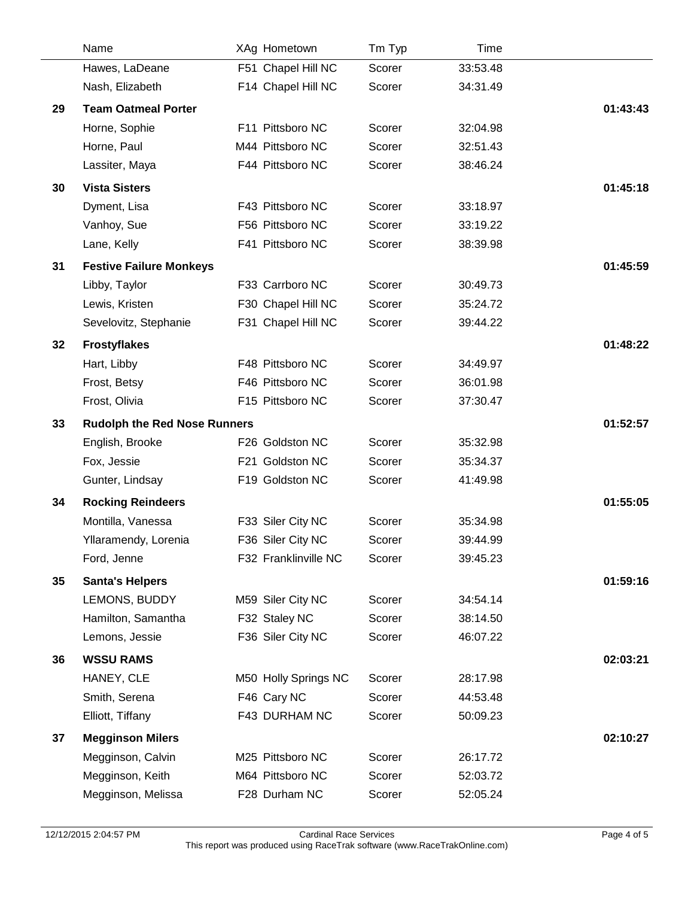|    | Name                                | XAg Hometown         | Tm Typ | Time     |          |
|----|-------------------------------------|----------------------|--------|----------|----------|
|    | Hawes, LaDeane                      | F51 Chapel Hill NC   | Scorer | 33:53.48 |          |
|    | Nash, Elizabeth                     | F14 Chapel Hill NC   | Scorer | 34:31.49 |          |
| 29 | <b>Team Oatmeal Porter</b>          |                      |        |          | 01:43:43 |
|    | Horne, Sophie                       | F11 Pittsboro NC     | Scorer | 32:04.98 |          |
|    | Horne, Paul                         | M44 Pittsboro NC     | Scorer | 32:51.43 |          |
|    | Lassiter, Maya                      | F44 Pittsboro NC     | Scorer | 38:46.24 |          |
| 30 | <b>Vista Sisters</b>                |                      |        |          | 01:45:18 |
|    | Dyment, Lisa                        | F43 Pittsboro NC     | Scorer | 33:18.97 |          |
|    | Vanhoy, Sue                         | F56 Pittsboro NC     | Scorer | 33:19.22 |          |
|    | Lane, Kelly                         | F41 Pittsboro NC     | Scorer | 38:39.98 |          |
| 31 | <b>Festive Failure Monkeys</b>      |                      |        |          | 01:45:59 |
|    | Libby, Taylor                       | F33 Carrboro NC      | Scorer | 30:49.73 |          |
|    | Lewis, Kristen                      | F30 Chapel Hill NC   | Scorer | 35:24.72 |          |
|    | Sevelovitz, Stephanie               | F31 Chapel Hill NC   | Scorer | 39:44.22 |          |
| 32 | <b>Frostyflakes</b>                 |                      |        |          | 01:48:22 |
|    | Hart, Libby                         | F48 Pittsboro NC     | Scorer | 34:49.97 |          |
|    | Frost, Betsy                        | F46 Pittsboro NC     | Scorer | 36:01.98 |          |
|    | Frost, Olivia                       | F15 Pittsboro NC     | Scorer | 37:30.47 |          |
| 33 | <b>Rudolph the Red Nose Runners</b> |                      |        |          | 01:52:57 |
|    | English, Brooke                     | F26 Goldston NC      | Scorer | 35:32.98 |          |
|    | Fox, Jessie                         | F21 Goldston NC      | Scorer | 35:34.37 |          |
|    | Gunter, Lindsay                     | F19 Goldston NC      | Scorer | 41:49.98 |          |
| 34 | <b>Rocking Reindeers</b>            |                      |        |          | 01:55:05 |
|    | Montilla, Vanessa                   | F33 Siler City NC    | Scorer | 35:34.98 |          |
|    | Yllaramendy, Lorenia                | F36 Siler City NC    | Scorer | 39:44.99 |          |
|    | Ford, Jenne                         | F32 Franklinville NC | Scorer | 39:45.23 |          |
| 35 | <b>Santa's Helpers</b>              |                      |        |          | 01:59:16 |
|    | LEMONS, BUDDY                       | M59 Siler City NC    | Scorer | 34:54.14 |          |
|    | Hamilton, Samantha                  | F32 Staley NC        | Scorer | 38:14.50 |          |
|    | Lemons, Jessie                      | F36 Siler City NC    | Scorer | 46:07.22 |          |
| 36 | <b>WSSU RAMS</b>                    |                      |        |          | 02:03:21 |
|    | HANEY, CLE                          | M50 Holly Springs NC | Scorer | 28:17.98 |          |
|    | Smith, Serena                       | F46 Cary NC          | Scorer | 44:53.48 |          |
|    | Elliott, Tiffany                    | F43 DURHAM NC        | Scorer | 50:09.23 |          |
| 37 | <b>Megginson Milers</b>             |                      |        |          | 02:10:27 |
|    | Megginson, Calvin                   | M25 Pittsboro NC     | Scorer | 26:17.72 |          |
|    | Megginson, Keith                    | M64 Pittsboro NC     | Scorer | 52:03.72 |          |
|    | Megginson, Melissa                  | F28 Durham NC        | Scorer | 52:05.24 |          |

 $\overline{a}$